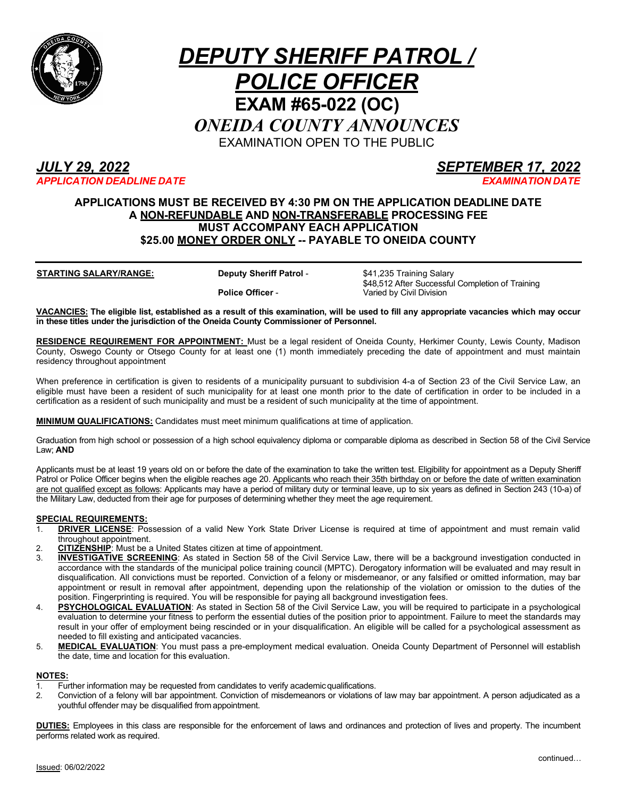

# *DEPUTY SHERIFF PATROL / POLICE OFFICER* **EXAM #65-022 (OC)** *ONEIDA COUNTY ANNOUNCES* EXAMINATION OPEN TO THE PUBLIC

## *JULY 29, 2022 SEPTEMBER 17, 2022 APPLICATION DEADLINE DATE EXAMINATION DATE*

## **APPLICATIONS MUST BE RECEIVED BY 4:30 PM ON THE APPLICATION DEADLINE DATE A NON-REFUNDABLE AND NON-TRANSFERABLE PROCESSING FEE MUST ACCOMPANY EACH APPLICATION \$25.00 MONEY ORDER ONLY -- PAYABLE TO ONEIDA COUNTY**

**STARTING SALARY/RANGE: Deputy Sheriff Patrol -** \$41,235 Training Salary

**Police Officer** -

\$48,512 After Successful Completion of Training Varied by Civil Division

**VACANCIES: The eligible list, established as a result of this examination, will be used to fill any appropriate vacancies which may occur in these titles under the jurisdiction of the Oneida County Commissioner of Personnel.**

**RESIDENCE REQUIREMENT FOR APPOINTMENT:** Must be a legal resident of Oneida County, Herkimer County, Lewis County, Madison County, Oswego County or Otsego County for at least one (1) month immediately preceding the date of appointment and must maintain residency throughout appointment

When preference in certification is given to residents of a municipality pursuant to subdivision 4-a of Section 23 of the Civil Service Law, an eligible must have been a resident of such municipality for at least one month prior to the date of certification in order to be included in a certification as a resident of such municipality and must be a resident of such municipality at the time of appointment.

**MINIMUM QUALIFICATIONS:** Candidates must meet minimum qualifications at time of application.

Graduation from high school or possession of a high school equivalency diploma or comparable diploma as described in Section 58 of the Civil Service Law; **AND**

Applicants must be at least 19 years old on or before the date of the examination to take the written test. Eligibility for appointment as a Deputy Sheriff Patrol or Police Officer begins when the eligible reaches age 20. Applicants who reach their 35th birthday on or before the date of written examination are not qualified except as follows: Applicants may have a period of military duty or terminal leave, up to six years as defined in Section 243 (10-a) of the Military Law, deducted from their age for purposes of determining whether they meet the age requirement.

### **SPECIAL REQUIREMENTS:**

- 1. **DRIVER LICENSE**: Possession of a valid New York State Driver License is required at time of appointment and must remain valid throughout appointment.
- 2. **CITIZENSHIP**: Must be a United States citizen at time of appointment.<br>3. **INVESTIGATIVE SCREENING:** As stated in Section 58 of the Civil S
- **INVESTIGATIVE SCREENING**: As stated in Section 58 of the Civil Service Law, there will be a background investigation conducted in accordance with the standards of the municipal police training council (MPTC). Derogatory information will be evaluated and may result in disqualification. All convictions must be reported. Conviction of a felony or misdemeanor, or any falsified or omitted information, may bar appointment or result in removal after appointment, depending upon the relationship of the violation or omission to the duties of the position. Fingerprinting is required. You will be responsible for paying all background investigation fees.
- 4. **PSYCHOLOGICAL EVALUATION**: As stated in Section 58 of the Civil Service Law, you will be required to participate in a psychological evaluation to determine your fitness to perform the essential duties of the position prior to appointment. Failure to meet the standards may result in your offer of employment being rescinded or in your disqualification. An eligible will be called for a psychological assessment as needed to fill existing and anticipated vacancies.
- 5. **MEDICAL EVALUATION**: You must pass a pre-employment medical evaluation. Oneida County Department of Personnel will establish the date, time and location for this evaluation.

### **NOTES:**

- 1. Further information may be requested from candidates to verify academic qualifications.
- 2. Conviction of a felony will bar appointment. Conviction of misdemeanors or violations of law may bar appointment. A person adjudicated as a youthful offender may be disqualified from appointment.

**DUTIES:** Employees in this class are responsible for the enforcement of laws and ordinances and protection of lives and property. The incumbent performs related work as required.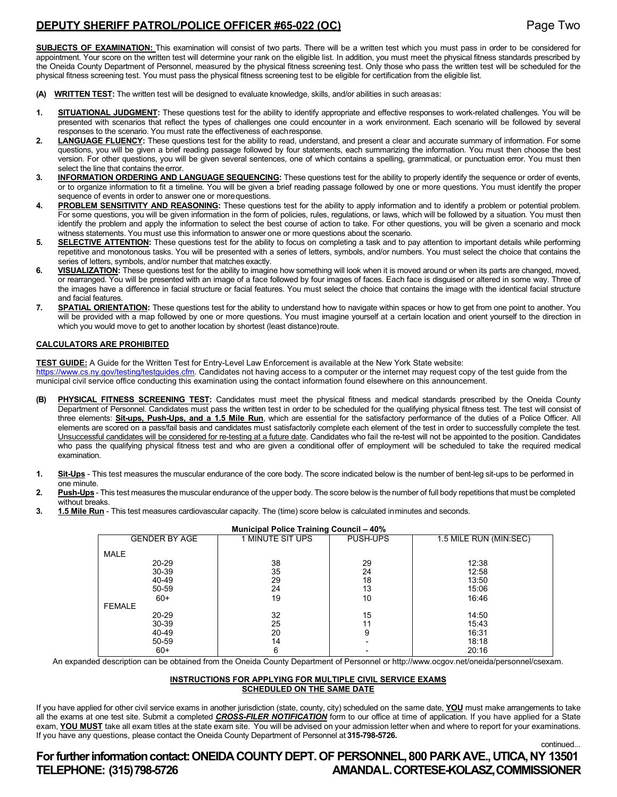## **DEPUTY SHERIFF PATROL/POLICE OFFICER #65-022 (OC)** Page Two

continued...

**SUBJECTS OF EXAMINATION:** This examination will consist of two parts. There will be a written test which you must pass in order to be considered for appointment. Your score on the written test will determine your rank on the eligible list. In addition, you must meet the physical fitness standards prescribed by the Oneida County Department of Personnel, measured by the physical fitness screening test. Only those who pass the written test will be scheduled for the physical fitness screening test. You must pass the physical fitness screening test to be eligible for certification from the eligible list.

- **(A) WRITTEN TEST:** The written test will be designed to evaluate knowledge, skills, and/or abilities in such areasas:
- **1. SITUATIONAL JUDGMENT:** These questions test for the ability to identify appropriate and effective responses to work-related challenges. You will be presented with scenarios that reflect the types of challenges one could encounter in a work environment. Each scenario will be followed by several responses to the scenario. You must rate the effectiveness of eachresponse.
- **2. LANGUAGE FLUENCY:** These questions test for the ability to read, understand, and present a clear and accurate summary of information. For some questions, you will be given a brief reading passage followed by four statements, each summarizing the information. You must then choose the best version. For other questions, you will be given several sentences, one of which contains a spelling, grammatical, or punctuation error. You must then select the line that contains the error.
- **3. INFORMATION ORDERING AND LANGUAGE SEQUENCING:** These questions test for the ability to properly identify the sequence or order of events, or to organize information to fit a timeline. You will be given a brief reading passage followed by one or more questions. You must identify the proper sequence of events in order to answer one or morequestions.
- **4. PROBLEM SENSITIVITY AND REASONING:** These questions test for the ability to apply information and to identify a problem or potential problem. For some questions, you will be given information in the form of policies, rules, regulations, or laws, which will be followed by a situation. You must then identify the problem and apply the information to select the best course of action to take. For other questions, you will be given a scenario and mock witness statements. You must use this information to answer one or more questions about the scenario.
- **5. SELECTIVE ATTENTION:** These questions test for the ability to focus on completing a task and to pay attention to important details while performing repetitive and monotonous tasks. You will be presented with a series of letters, symbols, and/or numbers. You must select the choice that contains the series of letters, symbols, and/or number that matches exactly.
- **6. VISUALIZATION:** These questions test for the ability to imagine how something will look when it is moved around or when its parts are changed, moved, or rearranged. You will be presented with an image of a face followed by four images of faces. Each face is disguised or altered in some way. Three of the images have a difference in facial structure or facial features. You must select the choice that contains the image with the identical facial structure and facial features.
- **7. SPATIAL ORIENTATION:** These questions test for the ability to understand how to navigate within spaces or how to get from one point to another. You will be provided with a map followed by one or more questions. You must imagine yourself at a certain location and orient yourself to the direction in which you would move to get to another location by shortest (least distance)route.

#### **CALCULATORS ARE PROHIBITED**

**TEST GUIDE:** A Guide for the Written Test for Entry-Level Law Enforcement is available at the New York State website:

https:[//www.cs.ny.gov/testing/testguides.cfm. C](http://www.cs.ny.gov/testing/testguides.cfm)andidates not having access to a computer or the internet may request copy of the test guide from the municipal civil service office conducting this examination using the contact information found elsewhere on this announcement.

- **(B) PHYSICAL FITNESS SCREENING TEST:** Candidates must meet the physical fitness and medical standards prescribed by the Oneida County Department of Personnel. Candidates must pass the written test in order to be scheduled for the qualifying physical fitness test. The test will consist of three elements: **Sit-ups, Push-Ups, and a 1.5 Mile Run**, which are essential for the satisfactory performance of the duties of a Police Officer. All elements are scored on a pass/fail basis and candidates must satisfactorily complete each element of the test in order to successfully complete the test. Unsuccessful candidates will be considered for re-testing at a future date. Candidates who fail the re-test will not be appointed to the position. Candidates who pass the qualifying physical fitness test and who are given a conditional offer of employment will be scheduled to take the required medical examination.
- **1. Sit-Ups** This test measures the muscular endurance of the core body. The score indicated below is the number of bent-leg sit-ups to be performed in one minute.
- **2. Push-Ups** This test measures the muscular endurance of the upper body. The score below is the number of full body repetitions that must be completed without breaks.
- **3. 1.5 Mile Run** This test measures cardiovascular capacity. The (time) score below is calculated inminutes and seconds.

| <b>Municipal Police Training Council – 40%</b> |                      |                  |          |                         |
|------------------------------------------------|----------------------|------------------|----------|-------------------------|
|                                                | <b>GENDER BY AGE</b> | 1 MINUTE SIT UPS | PUSH-UPS | 1.5 MILE RUN (MIN: SEC) |
|                                                | MALE                 |                  |          |                         |
|                                                | 20-29                | 38               | 29       | 12:38                   |
|                                                | 30-39                | 35               | 24       | 12:58                   |
|                                                | 40-49                | 29               | 18       | 13:50                   |
|                                                | 50-59                | 24               | 13       | 15:06                   |
|                                                | $60+$                | 19               | 10       | 16:46                   |
|                                                | <b>FEMALE</b>        |                  |          |                         |
|                                                | 20-29                | 32               | 15       | 14:50                   |
|                                                | 30-39                | 25               | 11       | 15:43                   |
|                                                | 40-49                | 20               | 9        | 16:31                   |
|                                                | 50-59                | 14               |          | 18:18                   |
|                                                | $60+$                | 6                |          | 20:16                   |

An expanded description can be obtained from the Oneida County Department of Personnel o[r http://www.ocgov.net/oneida/personnel/csexam.](http://www.ocgov.net/oneida/personnel/csexam)

#### **INSTRUCTIONS FOR APPLYING FOR MULTIPLE CIVIL SERVICE EXAMS SCHEDULED ON THE SAME DATE**

If you have applied for other civil service exams in another jurisdiction (state, county, city) scheduled on the same date, **YOU** must make arrangements to take all the exams at one test site. Submit a completed *CROSS-FILER NOTIFICATION* form to our office at time of application. If you have applied for a State exam, **YOU MUST** take all exam titles at the state exam site. You will be advised on your admission letter when and where to report for your examinations. If you have any questions, please contact the Oneida County Department of Personnel at **315-798-5726.**

**For further information contact: ONEIDA COUNTY DEPT. OF PERSONNEL, 800 PARK AVE., UTICA, NY 13501 TELEPHONE: (315)798-5726 AMANDAL.CORTESE-KOLASZ,COMMISSIONER**